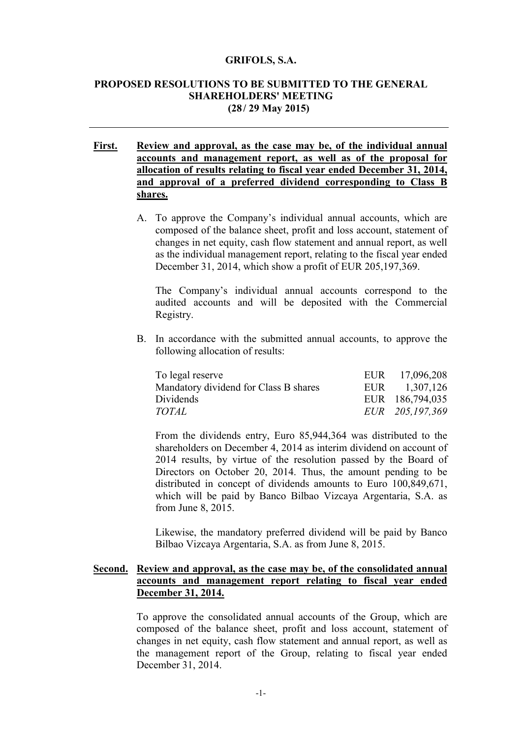#### **GRIFOLS, S.A.**

### **PROPOSED RESOLUTIONS TO BE SUBMITTED TO THE GENERAL SHAREHOLDERS' MEETING (28/ 29 May 2015)**

## **First. Review and approval, as the case may be, of the individual annual accounts and management report, as well as of the proposal for allocation of results relating to fiscal year ended December 31, 2014, and approval of a preferred dividend corresponding to Class B shares.**

A. To approve the Company's individual annual accounts, which are composed of the balance sheet, profit and loss account, statement of changes in net equity, cash flow statement and annual report, as well as the individual management report, relating to the fiscal year ended December 31, 2014, which show a profit of EUR 205,197,369.

The Company's individual annual accounts correspond to the audited accounts and will be deposited with the Commercial Registry.

B. In accordance with the submitted annual accounts, to approve the following allocation of results:

| To legal reserve                      | EUR 17,096,208  |
|---------------------------------------|-----------------|
| Mandatory dividend for Class B shares | EUR 1,307,126   |
| Dividends                             | EUR 186,794,035 |
| <i>TOTAL</i>                          | EUR 205,197,369 |

From the dividends entry, Euro 85,944,364 was distributed to the shareholders on December 4, 2014 as interim dividend on account of 2014 results, by virtue of the resolution passed by the Board of Directors on October 20, 2014. Thus, the amount pending to be distributed in concept of dividends amounts to Euro 100,849,671, which will be paid by Banco Bilbao Vizcaya Argentaria, S.A. as from June 8, 2015.

Likewise, the mandatory preferred dividend will be paid by Banco Bilbao Vizcaya Argentaria, S.A. as from June 8, 2015.

### **Second. Review and approval, as the case may be, of the consolidated annual accounts and management report relating to fiscal year ended December 31, 2014.**

To approve the consolidated annual accounts of the Group, which are composed of the balance sheet, profit and loss account, statement of changes in net equity, cash flow statement and annual report, as well as the management report of the Group, relating to fiscal year ended December 31, 2014.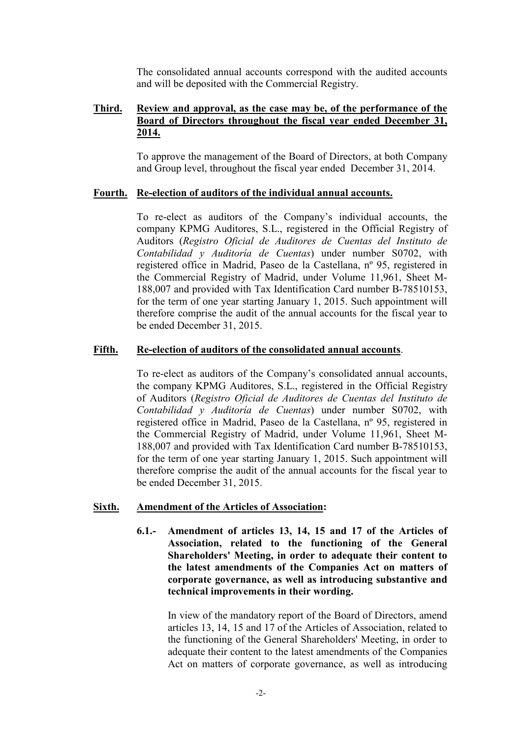The consolidated annual accounts correspond with the audited accounts and will be deposited with the Commercial Registry.

# **Third. Review and approval, as the case may be, of the performance of the Board of Directors throughout the fiscal year ended December 31, 2014.**

To approve the management of the Board of Directors, at both Company and Group level, throughout the fiscal year ended December 31, 2014.

#### **Fourth. Re-election of auditors of the individual annual accounts.**

To re-elect as auditors of the Company's individual accounts, the company KPMG Auditores, S.L., registered in the Official Registry of Auditors (*Registro Oficial de Auditores de Cuentas del Instituto de Contabilidad y Auditoría de Cuentas*) under number S0702, with registered office in Madrid, Paseo de la Castellana, nº 95, registered in the Commercial Registry of Madrid, under Volume 11,961, Sheet M-188,007 and provided with Tax Identification Card number B-78510153, for the term of one year starting January 1, 2015. Such appointment will therefore comprise the audit of the annual accounts for the fiscal year to be ended December 31, 2015.

### **Fifth. Re-election of auditors of the consolidated annual accounts**.

To re-elect as auditors of the Company's consolidated annual accounts, the company KPMG Auditores, S.L., registered in the Official Registry of Auditors (*Registro Oficial de Auditores de Cuentas del Instituto de Contabilidad y Auditoría de Cuentas*) under number S0702, with registered office in Madrid, Paseo de la Castellana, nº 95, registered in the Commercial Registry of Madrid, under Volume 11,961, Sheet M-188,007 and provided with Tax Identification Card number B-78510153, for the term of one year starting January 1, 2015. Such appointment will therefore comprise the audit of the annual accounts for the fiscal year to be ended December 31, 2015.

#### **Sixth. Amendment of the Articles of Association:**

**6.1.- Amendment of articles 13, 14, 15 and 17 of the Articles of Association, related to the functioning of the General Shareholders' Meeting, in order to adequate their content to the latest amendments of the Companies Act on matters of corporate governance, as well as introducing substantive and technical improvements in their wording.**

In view of the mandatory report of the Board of Directors, amend articles 13, 14, 15 and 17 of the Articles of Association, related to the functioning of the General Shareholders' Meeting, in order to adequate their content to the latest amendments of the Companies Act on matters of corporate governance, as well as introducing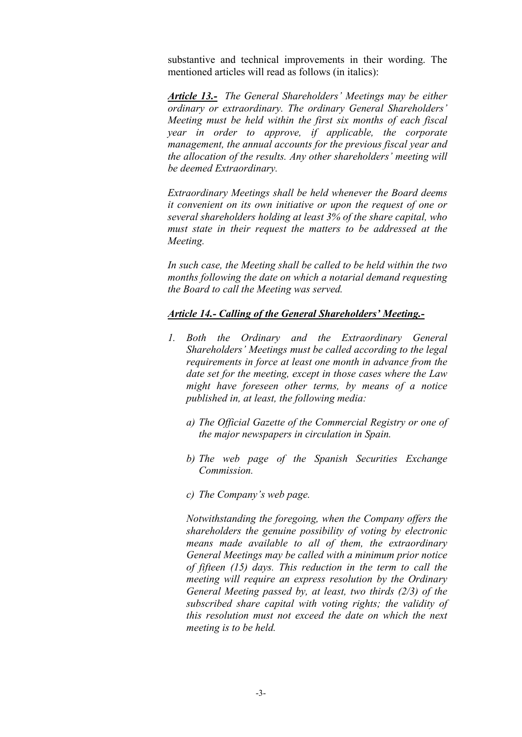substantive and technical improvements in their wording. The mentioned articles will read as follows (in italics):

*Article 13.- The General Shareholders' Meetings may be either ordinary or extraordinary. The ordinary General Shareholders' Meeting must be held within the first six months of each fiscal year in order to approve, if applicable, the corporate management, the annual accounts for the previous fiscal year and the allocation of the results. Any other shareholders' meeting will be deemed Extraordinary.*

*Extraordinary Meetings shall be held whenever the Board deems it convenient on its own initiative or upon the request of one or several shareholders holding at least 3% of the share capital, who must state in their request the matters to be addressed at the Meeting.* 

*In such case, the Meeting shall be called to be held within the two months following the date on which a notarial demand requesting the Board to call the Meeting was served.*

## *Article 14.- Calling of the General Shareholders' Meeting.-*

- *1. Both the Ordinary and the Extraordinary General Shareholders' Meetings must be called according to the legal requirements in force at least one month in advance from the date set for the meeting, except in those cases where the Law might have foreseen other terms, by means of a notice published in, at least, the following media:*
	- *a) The Official Gazette of the Commercial Registry or one of the major newspapers in circulation in Spain.*
	- *b) The web page of the Spanish Securities Exchange Commission.*
	- *c) The Company's web page.*

*Notwithstanding the foregoing, when the Company offers the shareholders the genuine possibility of voting by electronic means made available to all of them, the extraordinary General Meetings may be called with a minimum prior notice of fifteen (15) days. This reduction in the term to call the meeting will require an express resolution by the Ordinary General Meeting passed by, at least, two thirds (2/3) of the subscribed share capital with voting rights; the validity of this resolution must not exceed the date on which the next meeting is to be held.*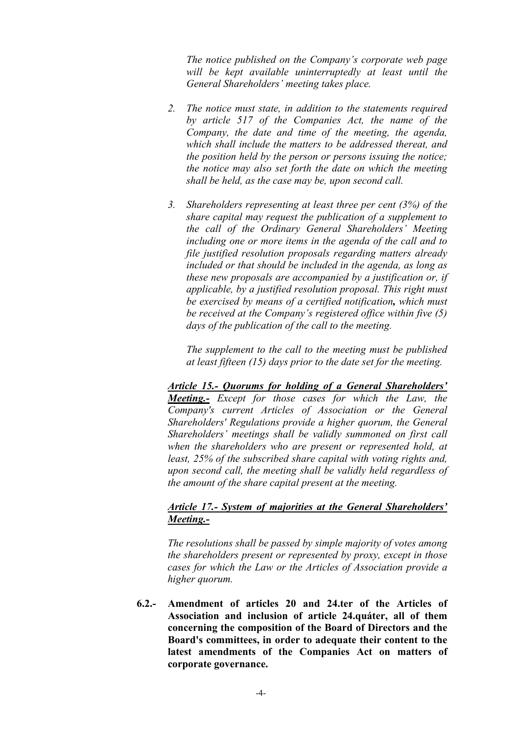*The notice published on the Company's corporate web page will be kept available uninterruptedly at least until the General Shareholders' meeting takes place.*

- *2. The notice must state, in addition to the statements required by article 517 of the Companies Act, the name of the Company, the date and time of the meeting, the agenda, which shall include the matters to be addressed thereat, and the position held by the person or persons issuing the notice; the notice may also set forth the date on which the meeting shall be held, as the case may be, upon second call.*
- *3. Shareholders representing at least three per cent (3%) of the share capital may request the publication of a supplement to the call of the Ordinary General Shareholders' Meeting including one or more items in the agenda of the call and to file justified resolution proposals regarding matters already included or that should be included in the agenda, as long as these new proposals are accompanied by a justification or, if applicable, by a justified resolution proposal. This right must be exercised by means of a certified notification, which must be received at the Company's registered office within five (5) days of the publication of the call to the meeting.*

*The supplement to the call to the meeting must be published at least fifteen (15) days prior to the date set for the meeting.*

*Article 15.- Quorums for holding of a General Shareholders' Meeting.- Except for those cases for which the Law, the Company's current Articles of Association or the General Shareholders' Regulations provide a higher quorum, the General Shareholders' meetings shall be validly summoned on first call when the shareholders who are present or represented hold, at least, 25% of the subscribed share capital with voting rights and, upon second call, the meeting shall be validly held regardless of the amount of the share capital present at the meeting.* 

## *Article 17.- System of majorities at the General Shareholders' Meeting.-*

*The resolutions shall be passed by simple majority of votes among the shareholders present or represented by proxy, except in those cases for which the Law or the Articles of Association provide a higher quorum.* 

**6.2.- Amendment of articles 20 and 24.ter of the Articles of Association and inclusion of article 24.quáter, all of them concerning the composition of the Board of Directors and the Board's committees, in order to adequate their content to the latest amendments of the Companies Act on matters of corporate governance.**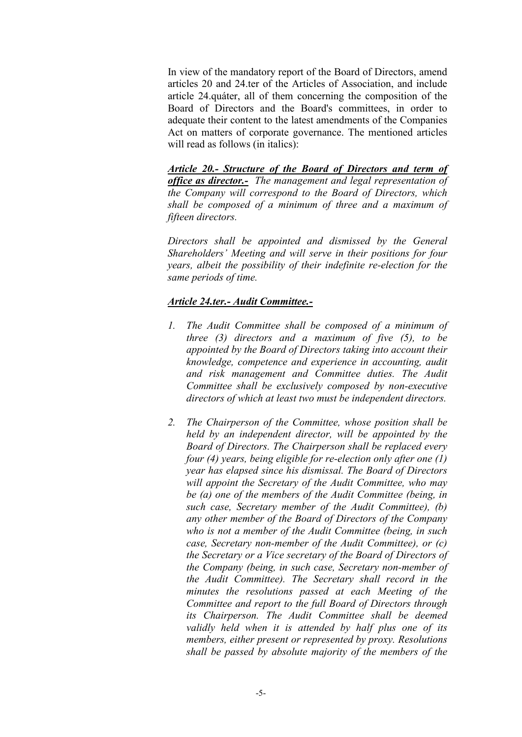In view of the mandatory report of the Board of Directors, amend articles 20 and 24.ter of the Articles of Association, and include article 24.quáter, all of them concerning the composition of the Board of Directors and the Board's committees, in order to adequate their content to the latest amendments of the Companies Act on matters of corporate governance. The mentioned articles will read as follows (in italics):

*Article 20.- Structure of the Board of Directors and term of office as director.- The management and legal representation of the Company will correspond to the Board of Directors, which shall be composed of a minimum of three and a maximum of fifteen directors.*

*Directors shall be appointed and dismissed by the General Shareholders' Meeting and will serve in their positions for four years, albeit the possibility of their indefinite re-election for the same periods of time.* 

## *Article 24.ter.- Audit Committee.-*

- *1. The Audit Committee shall be composed of a minimum of three (3) directors and a maximum of five (5), to be appointed by the Board of Directors taking into account their knowledge, competence and experience in accounting, audit and risk management and Committee duties. The Audit Committee shall be exclusively composed by non-executive directors of which at least two must be independent directors.*
- *2. The Chairperson of the Committee, whose position shall be held by an independent director, will be appointed by the Board of Directors. The Chairperson shall be replaced every four (4) years, being eligible for re-election only after one (1) year has elapsed since his dismissal. The Board of Directors will appoint the Secretary of the Audit Committee, who may be (a) one of the members of the Audit Committee (being, in such case, Secretary member of the Audit Committee), (b) any other member of the Board of Directors of the Company who is not a member of the Audit Committee (being, in such case, Secretary non-member of the Audit Committee), or (c) the Secretary or a Vice secretary of the Board of Directors of the Company (being, in such case, Secretary non-member of the Audit Committee). The Secretary shall record in the minutes the resolutions passed at each Meeting of the Committee and report to the full Board of Directors through its Chairperson. The Audit Committee shall be deemed validly held when it is attended by half plus one of its members, either present or represented by proxy. Resolutions shall be passed by absolute majority of the members of the*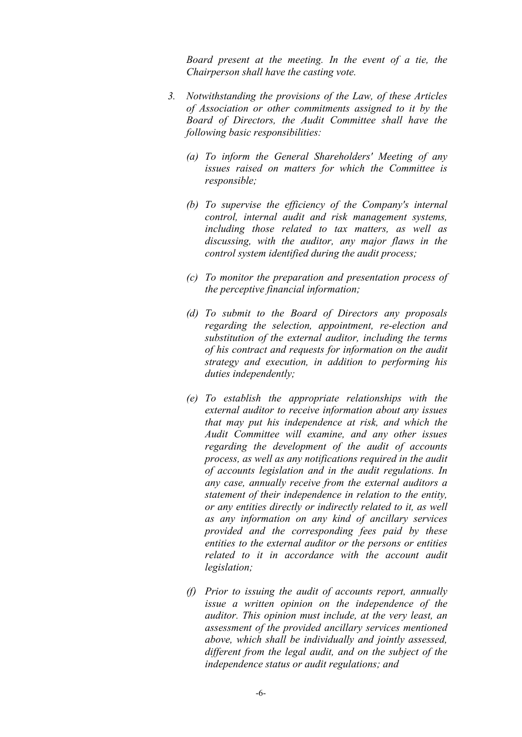*Board present at the meeting. In the event of a tie, the Chairperson shall have the casting vote.* 

- *3. Notwithstanding the provisions of the Law, of these Articles of Association or other commitments assigned to it by the Board of Directors, the Audit Committee shall have the following basic responsibilities:*
	- *(a) To inform the General Shareholders' Meeting of any issues raised on matters for which the Committee is responsible;*
	- *(b) To supervise the efficiency of the Company's internal control, internal audit and risk management systems, including those related to tax matters, as well as discussing, with the auditor, any major flaws in the control system identified during the audit process;*
	- *(c) To monitor the preparation and presentation process of the perceptive financial information;*
	- *(d) To submit to the Board of Directors any proposals regarding the selection, appointment, re-election and substitution of the external auditor, including the terms of his contract and requests for information on the audit strategy and execution, in addition to performing his duties independently;*
	- *(e) To establish the appropriate relationships with the external auditor to receive information about any issues that may put his independence at risk, and which the Audit Committee will examine, and any other issues regarding the development of the audit of accounts process, as well as any notifications required in the audit of accounts legislation and in the audit regulations. In any case, annually receive from the external auditors a statement of their independence in relation to the entity, or any entities directly or indirectly related to it, as well as any information on any kind of ancillary services provided and the corresponding fees paid by these entities to the external auditor or the persons or entities related to it in accordance with the account audit legislation;*
	- *(f) Prior to issuing the audit of accounts report, annually issue a written opinion on the independence of the auditor. This opinion must include, at the very least, an assessment of the provided ancillary services mentioned above, which shall be individually and jointly assessed, different from the legal audit, and on the subject of the independence status or audit regulations; and*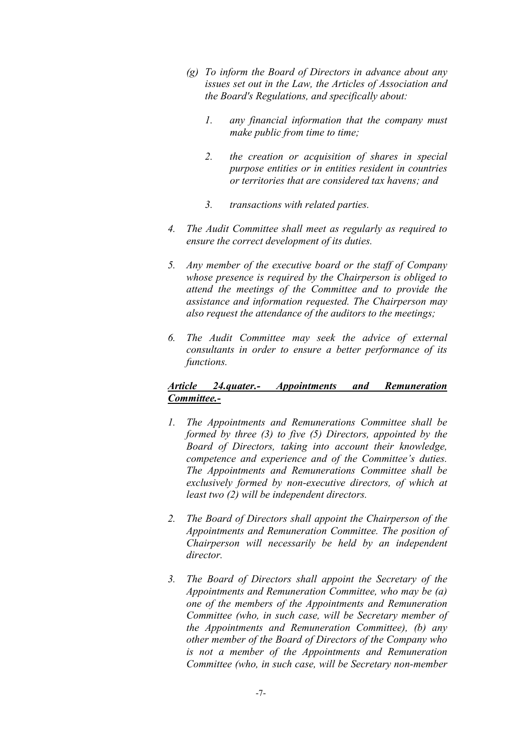- *(g) To inform the Board of Directors in advance about any issues set out in the Law, the Articles of Association and the Board's Regulations, and specifically about:*
	- *1. any financial information that the company must make public from time to time;*
	- *2. the creation or acquisition of shares in special purpose entities or in entities resident in countries or territories that are considered tax havens; and*
	- *3. transactions with related parties.*
- *4. The Audit Committee shall meet as regularly as required to ensure the correct development of its duties.*
- *5. Any member of the executive board or the staff of Company whose presence is required by the Chairperson is obliged to attend the meetings of the Committee and to provide the assistance and information requested. The Chairperson may also request the attendance of the auditors to the meetings;*
- *6. The Audit Committee may seek the advice of external consultants in order to ensure a better performance of its functions.*

## *Article 24.quater.- Appointments and Remuneration Committee.-*

- *1. The Appointments and Remunerations Committee shall be formed by three (3) to five (5) Directors, appointed by the Board of Directors, taking into account their knowledge, competence and experience and of the Committee's duties. The Appointments and Remunerations Committee shall be exclusively formed by non-executive directors, of which at least two (2) will be independent directors.*
- *2. The Board of Directors shall appoint the Chairperson of the Appointments and Remuneration Committee. The position of Chairperson will necessarily be held by an independent director.*
- *3. The Board of Directors shall appoint the Secretary of the Appointments and Remuneration Committee, who may be (a) one of the members of the Appointments and Remuneration Committee (who, in such case, will be Secretary member of the Appointments and Remuneration Committee), (b) any other member of the Board of Directors of the Company who is not a member of the Appointments and Remuneration Committee (who, in such case, will be Secretary non-member*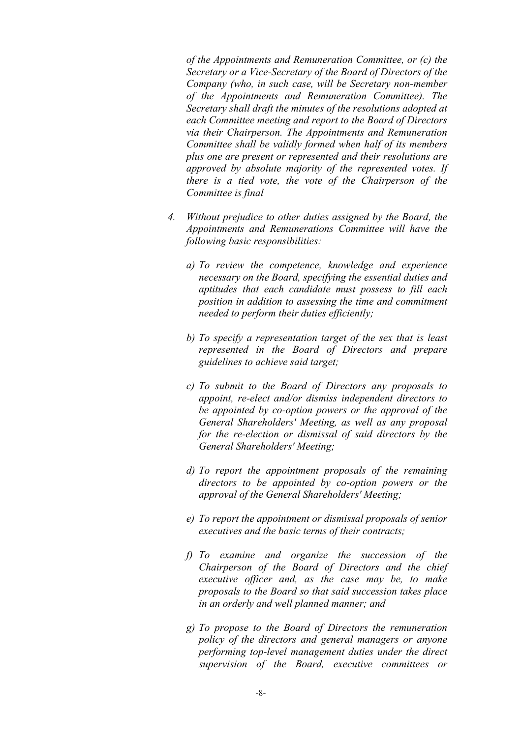*of the Appointments and Remuneration Committee, or (c) the Secretary or a Vice-Secretary of the Board of Directors of the Company (who, in such case, will be Secretary non-member of the Appointments and Remuneration Committee). The Secretary shall draft the minutes of the resolutions adopted at each Committee meeting and report to the Board of Directors via their Chairperson. The Appointments and Remuneration Committee shall be validly formed when half of its members plus one are present or represented and their resolutions are approved by absolute majority of the represented votes. If there is a tied vote, the vote of the Chairperson of the Committee is final*

- *4. Without prejudice to other duties assigned by the Board, the Appointments and Remunerations Committee will have the following basic responsibilities:*
	- *a) To review the competence, knowledge and experience necessary on the Board, specifying the essential duties and aptitudes that each candidate must possess to fill each position in addition to assessing the time and commitment needed to perform their duties efficiently;*
	- *b) To specify a representation target of the sex that is least represented in the Board of Directors and prepare guidelines to achieve said target;*
	- *c) To submit to the Board of Directors any proposals to appoint, re-elect and/or dismiss independent directors to be appointed by co-option powers or the approval of the General Shareholders' Meeting, as well as any proposal for the re-election or dismissal of said directors by the General Shareholders' Meeting;*
	- *d) To report the appointment proposals of the remaining directors to be appointed by co-option powers or the approval of the General Shareholders' Meeting;*
	- *e) To report the appointment or dismissal proposals of senior executives and the basic terms of their contracts;*
	- *f) To examine and organize the succession of the Chairperson of the Board of Directors and the chief executive officer and, as the case may be, to make proposals to the Board so that said succession takes place in an orderly and well planned manner; and*
	- *g) To propose to the Board of Directors the remuneration policy of the directors and general managers or anyone performing top-level management duties under the direct supervision of the Board, executive committees or*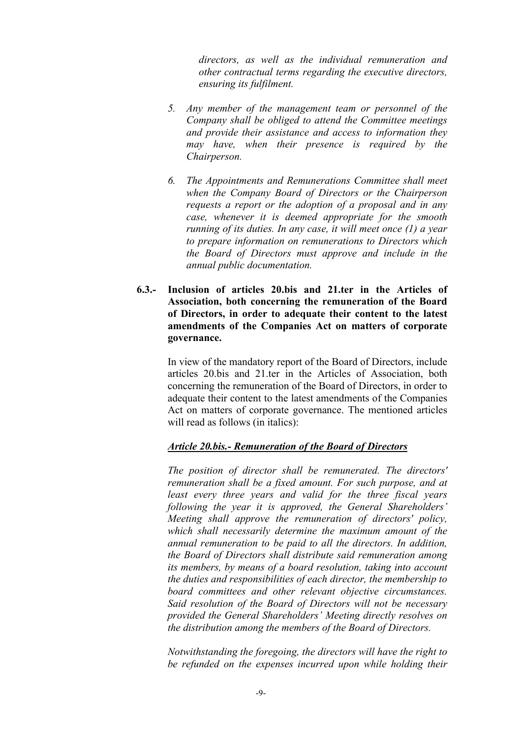*directors, as well as the individual remuneration and other contractual terms regarding the executive directors, ensuring its fulfilment.*

- *5. Any member of the management team or personnel of the Company shall be obliged to attend the Committee meetings and provide their assistance and access to information they may have, when their presence is required by the Chairperson.*
- *6. The Appointments and Remunerations Committee shall meet when the Company Board of Directors or the Chairperson requests a report or the adoption of a proposal and in any case, whenever it is deemed appropriate for the smooth running of its duties. In any case, it will meet once (1) a year to prepare information on remunerations to Directors which the Board of Directors must approve and include in the annual public documentation.*
- **6.3.- Inclusion of articles 20.bis and 21.ter in the Articles of Association, both concerning the remuneration of the Board of Directors, in order to adequate their content to the latest amendments of the Companies Act on matters of corporate governance.**

In view of the mandatory report of the Board of Directors, include articles 20.bis and 21.ter in the Articles of Association, both concerning the remuneration of the Board of Directors, in order to adequate their content to the latest amendments of the Companies Act on matters of corporate governance. The mentioned articles will read as follows (in italics):

#### *Article 20.bis.- Remuneration of the Board of Directors*

*The position of director shall be remunerated. The directors' remuneration shall be a fixed amount. For such purpose, and at least every three years and valid for the three fiscal years following the year it is approved, the General Shareholders' Meeting shall approve the remuneration of directors' policy, which shall necessarily determine the maximum amount of the annual remuneration to be paid to all the directors. In addition, the Board of Directors shall distribute said remuneration among its members, by means of a board resolution, taking into account the duties and responsibilities of each director, the membership to board committees and other relevant objective circumstances. Said resolution of the Board of Directors will not be necessary provided the General Shareholders' Meeting directly resolves on the distribution among the members of the Board of Directors.*

*Notwithstanding the foregoing, the directors will have the right to be refunded on the expenses incurred upon while holding their*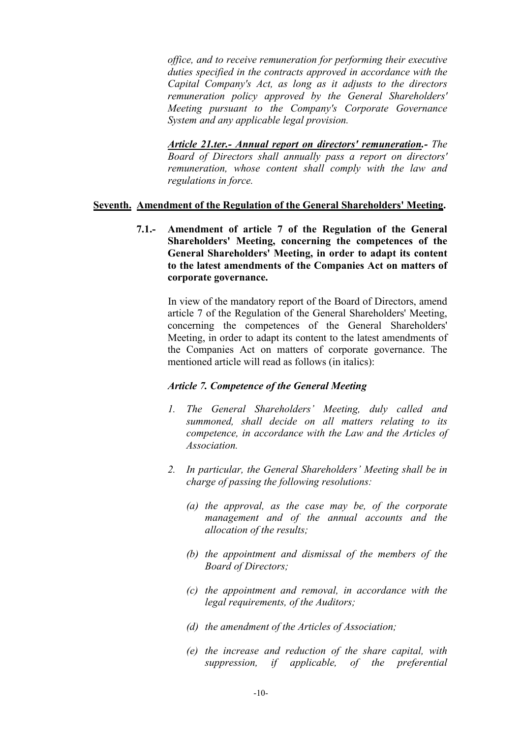*office, and to receive remuneration for performing their executive duties specified in the contracts approved in accordance with the Capital Company's Act, as long as it adjusts to the directors remuneration policy approved by the General Shareholders' Meeting pursuant to the Company's Corporate Governance System and any applicable legal provision.* 

*Article 21.ter.- Annual report on directors' remuneration.- The Board of Directors shall annually pass a report on directors' remuneration, whose content shall comply with the law and regulations in force.*

#### **Seventh. Amendment of the Regulation of the General Shareholders' Meeting.**

**7.1.- Amendment of article 7 of the Regulation of the General Shareholders' Meeting, concerning the competences of the General Shareholders' Meeting, in order to adapt its content to the latest amendments of the Companies Act on matters of corporate governance.**

In view of the mandatory report of the Board of Directors, amend article 7 of the Regulation of the General Shareholders' Meeting, concerning the competences of the General Shareholders' Meeting, in order to adapt its content to the latest amendments of the Companies Act on matters of corporate governance. The mentioned article will read as follows (in italics):

## *Article 7. Competence of the General Meeting*

- *1. The General Shareholders' Meeting, duly called and summoned, shall decide on all matters relating to its competence, in accordance with the Law and the Articles of Association.*
- *2. In particular, the General Shareholders' Meeting shall be in charge of passing the following resolutions:*
	- *(a) the approval, as the case may be, of the corporate management and of the annual accounts and the allocation of the results;*
	- *(b) the appointment and dismissal of the members of the Board of Directors;*
	- *(c) the appointment and removal, in accordance with the legal requirements, of the Auditors;*
	- *(d) the amendment of the Articles of Association;*
	- *(e) the increase and reduction of the share capital, with suppression, if applicable, of the preferential*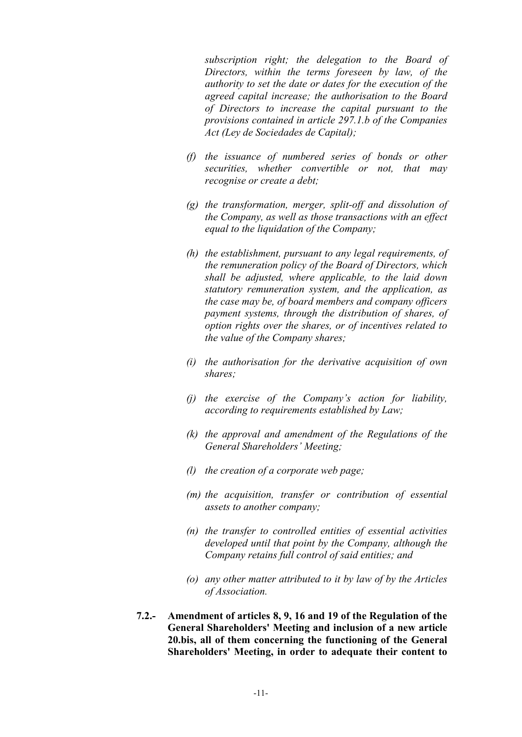*subscription right; the delegation to the Board of Directors, within the terms foreseen by law, of the authority to set the date or dates for the execution of the agreed capital increase; the authorisation to the Board of Directors to increase the capital pursuant to the provisions contained in article 297.1.b of the Companies Act (Ley de Sociedades de Capital);*

- *(f) the issuance of numbered series of bonds or other securities, whether convertible or not, that may recognise or create a debt;*
- *(g) the transformation, merger, split-off and dissolution of the Company, as well as those transactions with an effect equal to the liquidation of the Company;*
- *(h) the establishment, pursuant to any legal requirements, of the remuneration policy of the Board of Directors, which shall be adjusted, where applicable, to the laid down statutory remuneration system, and the application, as the case may be, of board members and company officers payment systems, through the distribution of shares, of option rights over the shares, or of incentives related to the value of the Company shares;*
- *(i) the authorisation for the derivative acquisition of own shares;*
- *(j) the exercise of the Company's action for liability, according to requirements established by Law;*
- *(k) the approval and amendment of the Regulations of the General Shareholders' Meeting;*
- *(l) the creation of a corporate web page;*
- *(m) the acquisition, transfer or contribution of essential assets to another company;*
- *(n) the transfer to controlled entities of essential activities developed until that point by the Company, although the Company retains full control of said entities; and*
- *(o) any other matter attributed to it by law of by the Articles of Association.*
- **7.2.- Amendment of articles 8, 9, 16 and 19 of the Regulation of the General Shareholders' Meeting and inclusion of a new article 20.bis, all of them concerning the functioning of the General Shareholders' Meeting, in order to adequate their content to**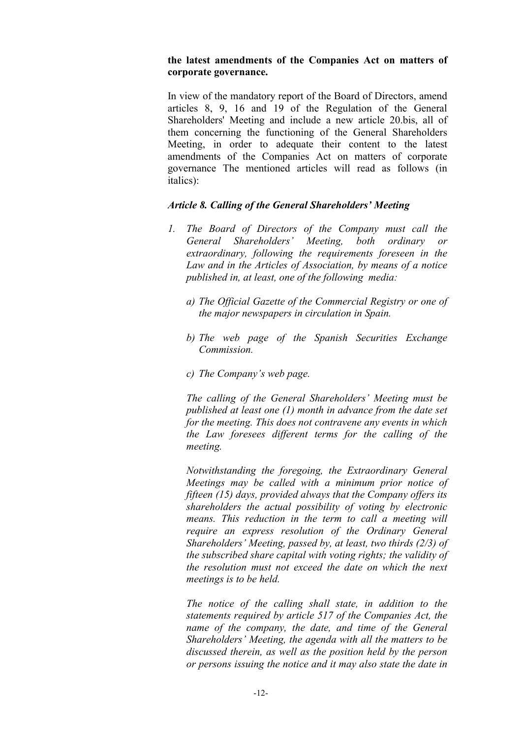### **the latest amendments of the Companies Act on matters of corporate governance.**

In view of the mandatory report of the Board of Directors, amend articles 8, 9, 16 and 19 of the Regulation of the General Shareholders' Meeting and include a new article 20.bis, all of them concerning the functioning of the General Shareholders Meeting, in order to adequate their content to the latest amendments of the Companies Act on matters of corporate governance The mentioned articles will read as follows (in italics):

## *Article 8. Calling of the General Shareholders' Meeting*

- *1. The Board of Directors of the Company must call the General Shareholders' Meeting, both ordinary or extraordinary, following the requirements foreseen in the Law and in the Articles of Association, by means of a notice published in, at least, one of the following media:*
	- *a) The Official Gazette of the Commercial Registry or one of the major newspapers in circulation in Spain.*
	- *b) The web page of the Spanish Securities Exchange Commission.*
	- *c) The Company's web page.*

*The calling of the General Shareholders' Meeting must be published at least one (1) month in advance from the date set for the meeting. This does not contravene any events in which the Law foresees different terms for the calling of the meeting.*

*Notwithstanding the foregoing, the Extraordinary General Meetings may be called with a minimum prior notice of fifteen (15) days, provided always that the Company offers its shareholders the actual possibility of voting by electronic means. This reduction in the term to call a meeting will require an express resolution of the Ordinary General Shareholders' Meeting, passed by, at least, two thirds (2/3) of the subscribed share capital with voting rights; the validity of the resolution must not exceed the date on which the next meetings is to be held.*

*The notice of the calling shall state, in addition to the statements required by article 517 of the Companies Act, the name of the company, the date, and time of the General Shareholders' Meeting, the agenda with all the matters to be discussed therein, as well as the position held by the person or persons issuing the notice and it may also state the date in*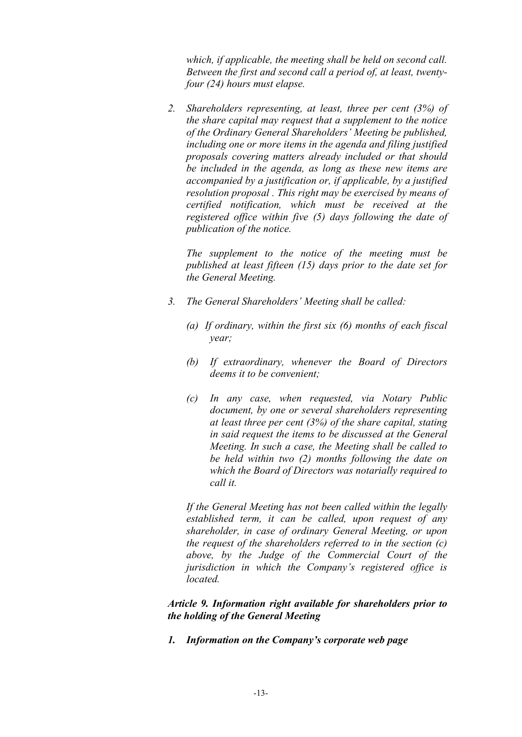*which, if applicable, the meeting shall be held on second call. Between the first and second call a period of, at least, twentyfour (24) hours must elapse.*

*2. Shareholders representing, at least, three per cent (3%) of the share capital may request that a supplement to the notice of the Ordinary General Shareholders' Meeting be published, including one or more items in the agenda and filing justified proposals covering matters already included or that should be included in the agenda, as long as these new items are accompanied by a justification or, if applicable, by a justified resolution proposal . This right may be exercised by means of certified notification, which must be received at the registered office within five (5) days following the date of publication of the notice.*

*The supplement to the notice of the meeting must be published at least fifteen (15) days prior to the date set for the General Meeting.*

- *3. The General Shareholders' Meeting shall be called:*
	- *(a) If ordinary, within the first six (6) months of each fiscal year;*
	- *(b) If extraordinary, whenever the Board of Directors deems it to be convenient;*
	- *(c) In any case, when requested, via Notary Public document, by one or several shareholders representing at least three per cent (3%) of the share capital, stating in said request the items to be discussed at the General Meeting. In such a case, the Meeting shall be called to be held within two (2) months following the date on which the Board of Directors was notarially required to call it.*

*If the General Meeting has not been called within the legally established term, it can be called, upon request of any shareholder, in case of ordinary General Meeting, or upon the request of the shareholders referred to in the section (c) above, by the Judge of the Commercial Court of the jurisdiction in which the Company's registered office is located.*

*Article 9. Information right available for shareholders prior to the holding of the General Meeting*

*1. Information on the Company's corporate web page*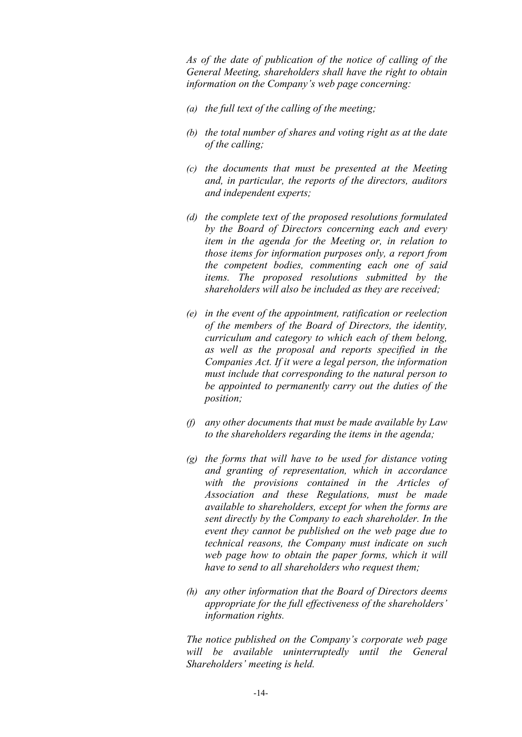*As of the date of publication of the notice of calling of the General Meeting, shareholders shall have the right to obtain information on the Company's web page concerning:*

- *(a) the full text of the calling of the meeting;*
- *(b) the total number of shares and voting right as at the date of the calling;*
- *(c) the documents that must be presented at the Meeting and, in particular, the reports of the directors, auditors and independent experts;*
- *(d) the complete text of the proposed resolutions formulated by the Board of Directors concerning each and every item in the agenda for the Meeting or, in relation to those items for information purposes only, a report from the competent bodies, commenting each one of said items. The proposed resolutions submitted by the shareholders will also be included as they are received;*
- *(e) in the event of the appointment, ratification or reelection of the members of the Board of Directors, the identity, curriculum and category to which each of them belong, as well as the proposal and reports specified in the Companies Act. If it were a legal person, the information must include that corresponding to the natural person to be appointed to permanently carry out the duties of the position;*
- *(f) any other documents that must be made available by Law to the shareholders regarding the items in the agenda;*
- *(g) the forms that will have to be used for distance voting and granting of representation, which in accordance with the provisions contained in the Articles of Association and these Regulations, must be made available to shareholders, except for when the forms are sent directly by the Company to each shareholder. In the event they cannot be published on the web page due to technical reasons, the Company must indicate on such web page how to obtain the paper forms, which it will have to send to all shareholders who request them;*
- *(h) any other information that the Board of Directors deems appropriate for the full effectiveness of the shareholders' information rights.*

*The notice published on the Company's corporate web page will be available uninterruptedly until the General Shareholders' meeting is held.*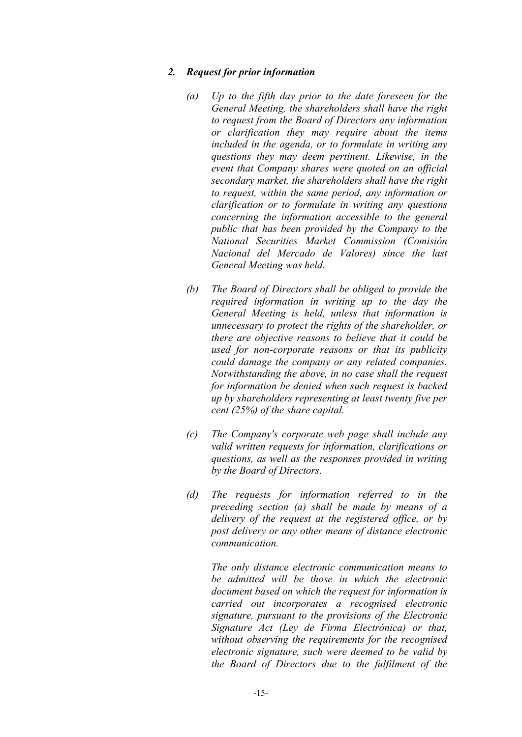#### *2. Request for prior information*

- *(a) Up to the fifth day prior to the date foreseen for the General Meeting, the shareholders shall have the right to request from the Board of Directors any information or clarification they may require about the items included in the agenda, or to formulate in writing any questions they may deem pertinent. Likewise, in the event that Company shares were quoted on an official secondary market, the shareholders shall have the right to request, within the same period, any information or clarification or to formulate in writing any questions concerning the information accessible to the general public that has been provided by the Company to the National Securities Market Commission (Comisión Nacional del Mercado de Valores) since the last General Meeting was held.*
- *(b) The Board of Directors shall be obliged to provide the required information in writing up to the day the General Meeting is held, unless that information is unnecessary to protect the rights of the shareholder, or there are objective reasons to believe that it could be used for non-corporate reasons or that its publicity could damage the company or any related companies. Notwithstanding the above, in no case shall the request for information be denied when such request is backed up by shareholders representing at least twenty five per cent (25%) of the share capital.*
- *(c) The Company's corporate web page shall include any valid written requests for information, clarifications or questions, as well as the responses provided in writing by the Board of Directors.*
- *(d) The requests for information referred to in the preceding section (a) shall be made by means of a delivery of the request at the registered office, or by post delivery or any other means of distance electronic communication.*

*The only distance electronic communication means to be admitted will be those in which the electronic document based on which the request for information is carried out incorporates a recognised electronic signature, pursuant to the provisions of the Electronic Signature Act (Ley de Firma Electrónica) or that, without observing the requirements for the recognised electronic signature, such were deemed to be valid by the Board of Directors due to the fulfilment of the*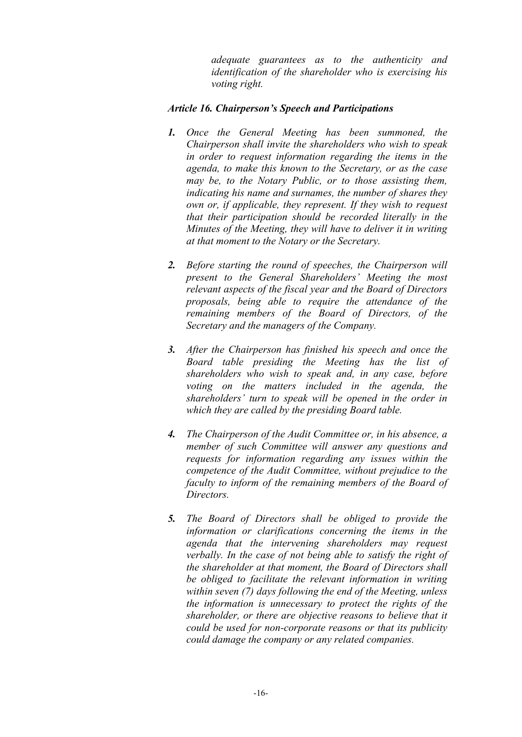*adequate guarantees as to the authenticity and identification of the shareholder who is exercising his voting right.* 

## *Article 16. Chairperson's Speech and Participations*

- *1. Once the General Meeting has been summoned, the Chairperson shall invite the shareholders who wish to speak in order to request information regarding the items in the agenda, to make this known to the Secretary, or as the case may be, to the Notary Public, or to those assisting them, indicating his name and surnames, the number of shares they own or, if applicable, they represent. If they wish to request that their participation should be recorded literally in the Minutes of the Meeting, they will have to deliver it in writing at that moment to the Notary or the Secretary.*
- *2. Before starting the round of speeches, the Chairperson will present to the General Shareholders' Meeting the most relevant aspects of the fiscal year and the Board of Directors proposals, being able to require the attendance of the remaining members of the Board of Directors, of the Secretary and the managers of the Company.*
- *3. After the Chairperson has finished his speech and once the Board table presiding the Meeting has the list of shareholders who wish to speak and, in any case, before voting on the matters included in the agenda, the shareholders' turn to speak will be opened in the order in which they are called by the presiding Board table.*
- *4. The Chairperson of the Audit Committee or, in his absence, a member of such Committee will answer any questions and requests for information regarding any issues within the competence of the Audit Committee, without prejudice to the faculty to inform of the remaining members of the Board of Directors.*
- *5. The Board of Directors shall be obliged to provide the information or clarifications concerning the items in the agenda that the intervening shareholders may request verbally. In the case of not being able to satisfy the right of the shareholder at that moment, the Board of Directors shall be obliged to facilitate the relevant information in writing within seven (7) days following the end of the Meeting, unless the information is unnecessary to protect the rights of the shareholder, or there are objective reasons to believe that it could be used for non-corporate reasons or that its publicity could damage the company or any related companies.*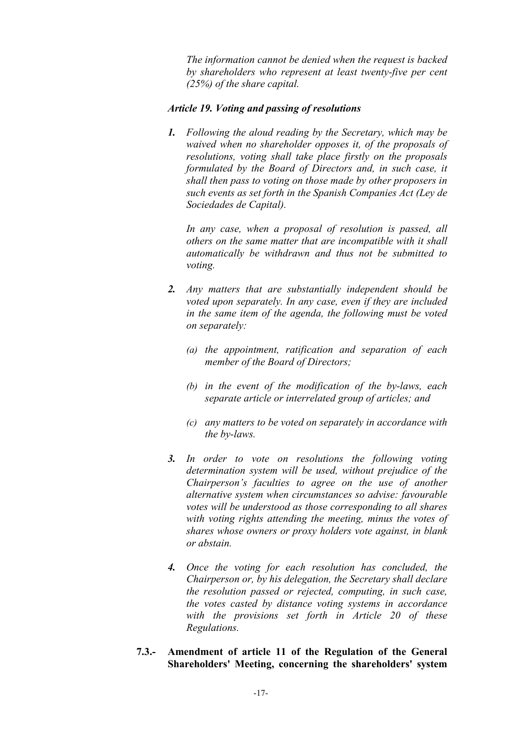*The information cannot be denied when the request is backed by shareholders who represent at least twenty-five per cent (25%) of the share capital.*

### *Article 19. Voting and passing of resolutions*

*1. Following the aloud reading by the Secretary, which may be waived when no shareholder opposes it, of the proposals of resolutions, voting shall take place firstly on the proposals formulated by the Board of Directors and, in such case, it shall then pass to voting on those made by other proposers in such events as set forth in the Spanish Companies Act (Ley de Sociedades de Capital).*

*In any case, when a proposal of resolution is passed, all others on the same matter that are incompatible with it shall automatically be withdrawn and thus not be submitted to voting.*

- *2. Any matters that are substantially independent should be voted upon separately. In any case, even if they are included in the same item of the agenda, the following must be voted on separately:*
	- *(a) the appointment, ratification and separation of each member of the Board of Directors;*
	- *(b) in the event of the modification of the by-laws, each separate article or interrelated group of articles; and*
	- *(c) any matters to be voted on separately in accordance with the by-laws.*
- *3. In order to vote on resolutions the following voting determination system will be used, without prejudice of the Chairperson's faculties to agree on the use of another alternative system when circumstances so advise: favourable votes will be understood as those corresponding to all shares with voting rights attending the meeting, minus the votes of shares whose owners or proxy holders vote against, in blank or abstain.*
- *4. Once the voting for each resolution has concluded, the Chairperson or, by his delegation, the Secretary shall declare the resolution passed or rejected, computing, in such case, the votes casted by distance voting systems in accordance with the provisions set forth in Article 20 of these Regulations.*
- **7.3.- Amendment of article 11 of the Regulation of the General Shareholders' Meeting, concerning the shareholders' system**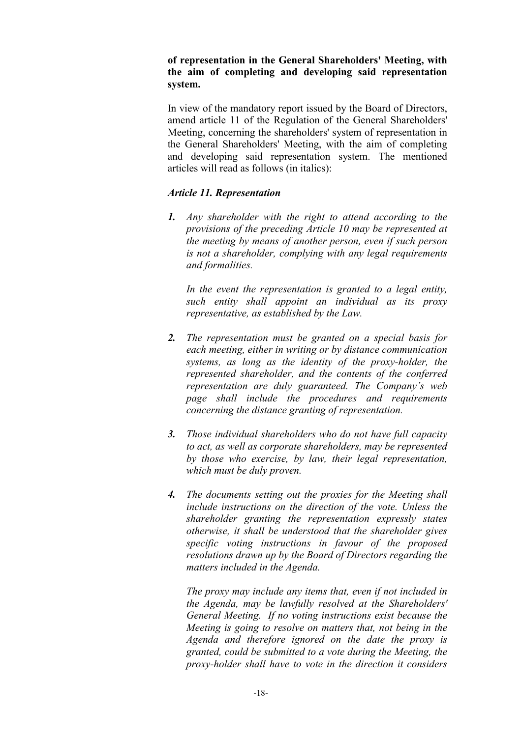## **of representation in the General Shareholders' Meeting, with the aim of completing and developing said representation system.**

In view of the mandatory report issued by the Board of Directors, amend article 11 of the Regulation of the General Shareholders' Meeting, concerning the shareholders' system of representation in the General Shareholders' Meeting, with the aim of completing and developing said representation system. The mentioned articles will read as follows (in italics):

## *Article 11. Representation*

*1. Any shareholder with the right to attend according to the provisions of the preceding Article 10 may be represented at the meeting by means of another person, even if such person is not a shareholder, complying with any legal requirements and formalities.*

In the event the representation is granted to a legal entity, *such entity shall appoint an individual as its proxy representative, as established by the Law.*

- *2. The representation must be granted on a special basis for each meeting, either in writing or by distance communication systems, as long as the identity of the proxy-holder, the represented shareholder, and the contents of the conferred representation are duly guaranteed. The Company's web page shall include the procedures and requirements concerning the distance granting of representation.*
- *3. Those individual shareholders who do not have full capacity to act, as well as corporate shareholders, may be represented by those who exercise, by law, their legal representation, which must be duly proven.*
- *4. The documents setting out the proxies for the Meeting shall include instructions on the direction of the vote. Unless the shareholder granting the representation expressly states otherwise, it shall be understood that the shareholder gives specific voting instructions in favour of the proposed resolutions drawn up by the Board of Directors regarding the matters included in the Agenda.*

*The proxy may include any items that, even if not included in the Agenda, may be lawfully resolved at the Shareholders' General Meeting. If no voting instructions exist because the Meeting is going to resolve on matters that, not being in the Agenda and therefore ignored on the date the proxy is granted, could be submitted to a vote during the Meeting, the proxy-holder shall have to vote in the direction it considers*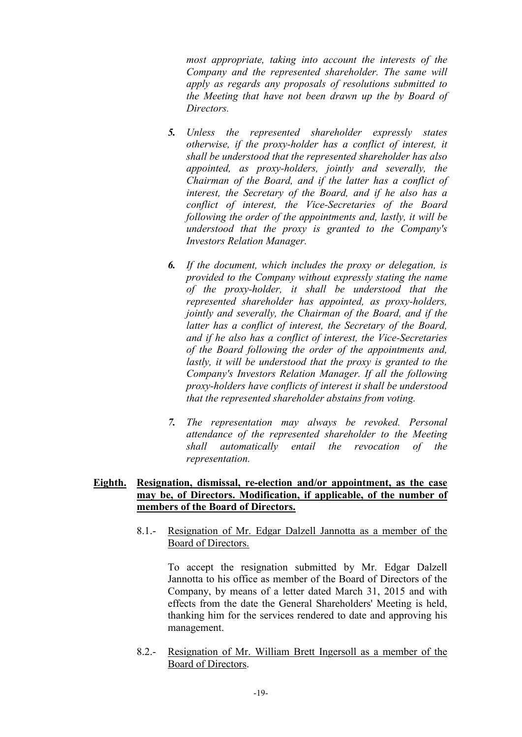*most appropriate, taking into account the interests of the Company and the represented shareholder. The same will apply as regards any proposals of resolutions submitted to the Meeting that have not been drawn up the by Board of Directors.*

- *5. Unless the represented shareholder expressly states otherwise, if the proxy-holder has a conflict of interest, it shall be understood that the represented shareholder has also appointed, as proxy-holders, jointly and severally, the Chairman of the Board, and if the latter has a conflict of interest, the Secretary of the Board, and if he also has a conflict of interest, the Vice-Secretaries of the Board following the order of the appointments and, lastly, it will be understood that the proxy is granted to the Company's Investors Relation Manager.*
- *6. If the document, which includes the proxy or delegation, is provided to the Company without expressly stating the name of the proxy-holder, it shall be understood that the represented shareholder has appointed, as proxy-holders, jointly and severally, the Chairman of the Board, and if the latter has a conflict of interest, the Secretary of the Board, and if he also has a conflict of interest, the Vice-Secretaries of the Board following the order of the appointments and, lastly, it will be understood that the proxy is granted to the Company's Investors Relation Manager. If all the following proxy-holders have conflicts of interest it shall be understood that the represented shareholder abstains from voting.*
- *7. The representation may always be revoked. Personal attendance of the represented shareholder to the Meeting shall automatically entail the revocation of the representation.*

## **Eighth. Resignation, dismissal, re-election and/or appointment, as the case may be, of Directors. Modification, if applicable, of the number of members of the Board of Directors.**

8.1.- Resignation of Mr. Edgar Dalzell Jannotta as a member of the Board of Directors.

To accept the resignation submitted by Mr. Edgar Dalzell Jannotta to his office as member of the Board of Directors of the Company, by means of a letter dated March 31, 2015 and with effects from the date the General Shareholders' Meeting is held, thanking him for the services rendered to date and approving his management.

8.2.- Resignation of Mr. William Brett Ingersoll as a member of the Board of Directors.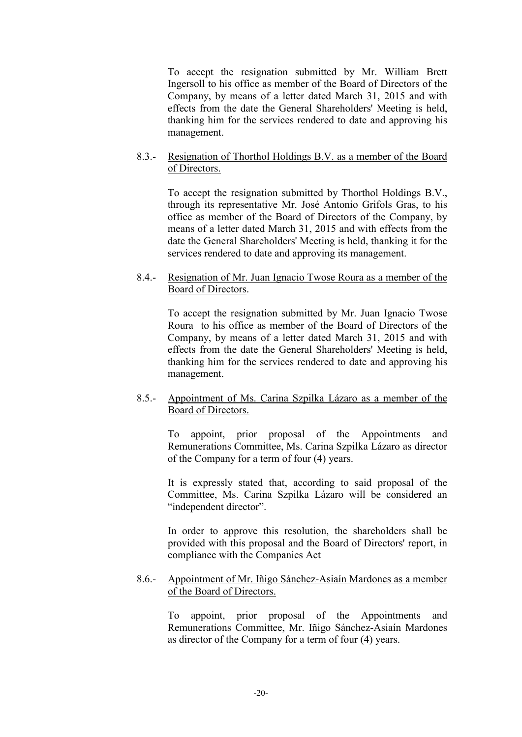To accept the resignation submitted by Mr. William Brett Ingersoll to his office as member of the Board of Directors of the Company, by means of a letter dated March 31, 2015 and with effects from the date the General Shareholders' Meeting is held, thanking him for the services rendered to date and approving his management.

## 8.3.- Resignation of Thorthol Holdings B.V. as a member of the Board of Directors.

To accept the resignation submitted by Thorthol Holdings B.V., through its representative Mr. José Antonio Grifols Gras, to his office as member of the Board of Directors of the Company, by means of a letter dated March 31, 2015 and with effects from the date the General Shareholders' Meeting is held, thanking it for the services rendered to date and approving its management.

## 8.4.- Resignation of Mr. Juan Ignacio Twose Roura as a member of the Board of Directors.

To accept the resignation submitted by Mr. Juan Ignacio Twose Roura to his office as member of the Board of Directors of the Company, by means of a letter dated March 31, 2015 and with effects from the date the General Shareholders' Meeting is held, thanking him for the services rendered to date and approving his management.

## 8.5.- Appointment of Ms. Carina Szpilka Lázaro as a member of the Board of Directors.

To appoint, prior proposal of the Appointments and Remunerations Committee, Ms. Carina Szpilka Lázaro as director of the Company for a term of four (4) years.

It is expressly stated that, according to said proposal of the Committee, Ms. Carina Szpilka Lázaro will be considered an "independent director".

In order to approve this resolution, the shareholders shall be provided with this proposal and the Board of Directors' report, in compliance with the Companies Act

## 8.6.- Appointment of Mr. Iñigo Sánchez-Asiaín Mardones as a member of the Board of Directors.

To appoint, prior proposal of the Appointments and Remunerations Committee, Mr. Iñigo Sánchez-Asiaín Mardones as director of the Company for a term of four (4) years.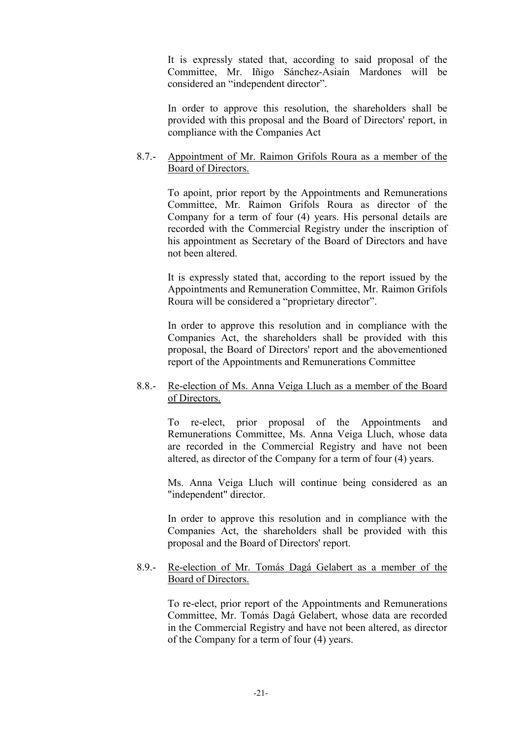It is expressly stated that, according to said proposal of the Committee, Mr. Iñigo Sánchez-Asiaín Mardones will be considered an "independent director".

In order to approve this resolution, the shareholders shall be provided with this proposal and the Board of Directors' report, in compliance with the Companies Act

### 8.7.- Appointment of Mr. Raimon Grifols Roura as a member of the Board of Directors.

To apoint, prior report by the Appointments and Remunerations Committee, Mr. Raimon Grifols Roura as director of the Company for a term of four (4) years. His personal details are recorded with the Commercial Registry under the inscription of his appointment as Secretary of the Board of Directors and have not been altered.

It is expressly stated that, according to the report issued by the Appointments and Remuneration Committee, Mr. Raimon Grifols Roura will be considered a "proprietary director".

In order to approve this resolution and in compliance with the Companies Act, the shareholders shall be provided with this proposal, the Board of Directors' report and the abovementioned report of the Appointments and Remunerations Committee

## 8.8.- Re-election of Ms. Anna Veiga Lluch as a member of the Board of Directors.

To re-elect, prior proposal of the Appointments and Remunerations Committee, Ms. Anna Veiga Lluch, whose data are recorded in the Commercial Registry and have not been altered, as director of the Company for a term of four (4) years.

Ms. Anna Veiga Lluch will continue being considered as an "independent" director.

In order to approve this resolution and in compliance with the Companies Act, the shareholders shall be provided with this proposal and the Board of Directors' report.

## 8.9.- Re-election of Mr. Tomás Dagá Gelabert as a member of the Board of Directors.

To re-elect, prior report of the Appointments and Remunerations Committee, Mr. Tomás Dagá Gelabert, whose data are recorded in the Commercial Registry and have not been altered, as director of the Company for a term of four (4) years.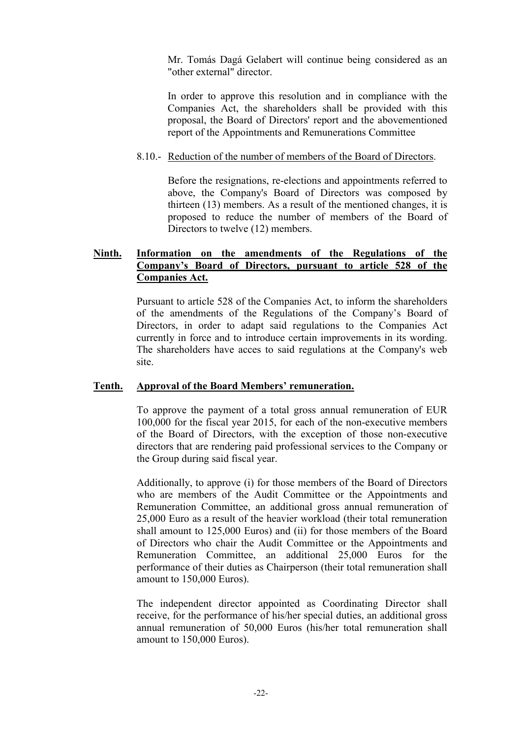Mr. Tomás Dagá Gelabert will continue being considered as an "other external" director.

In order to approve this resolution and in compliance with the Companies Act, the shareholders shall be provided with this proposal, the Board of Directors' report and the abovementioned report of the Appointments and Remunerations Committee

### 8.10.- Reduction of the number of members of the Board of Directors.

Before the resignations, re-elections and appointments referred to above, the Company's Board of Directors was composed by thirteen (13) members. As a result of the mentioned changes, it is proposed to reduce the number of members of the Board of Directors to twelve (12) members.

## **Ninth. Information on the amendments of the Regulations of the Company's Board of Directors, pursuant to article 528 of the Companies Act.**

Pursuant to article 528 of the Companies Act, to inform the shareholders of the amendments of the Regulations of the Company's Board of Directors, in order to adapt said regulations to the Companies Act currently in force and to introduce certain improvements in its wording. The shareholders have acces to said regulations at the Company's web site.

#### **Tenth. Approval of the Board Members' remuneration.**

To approve the payment of a total gross annual remuneration of EUR 100,000 for the fiscal year 2015, for each of the non-executive members of the Board of Directors, with the exception of those non-executive directors that are rendering paid professional services to the Company or the Group during said fiscal year.

Additionally, to approve (i) for those members of the Board of Directors who are members of the Audit Committee or the Appointments and Remuneration Committee, an additional gross annual remuneration of 25,000 Euro as a result of the heavier workload (their total remuneration shall amount to 125,000 Euros) and (ii) for those members of the Board of Directors who chair the Audit Committee or the Appointments and Remuneration Committee, an additional 25,000 Euros for the performance of their duties as Chairperson (their total remuneration shall amount to 150,000 Euros).

The independent director appointed as Coordinating Director shall receive, for the performance of his/her special duties, an additional gross annual remuneration of 50,000 Euros (his/her total remuneration shall amount to 150,000 Euros).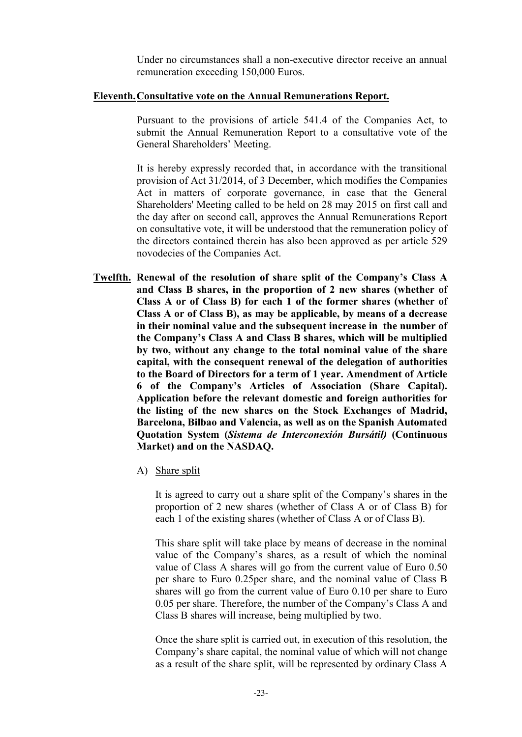Under no circumstances shall a non-executive director receive an annual remuneration exceeding 150,000 Euros.

#### **Eleventh.Consultative vote on the Annual Remunerations Report.**

Pursuant to the provisions of article 541.4 of the Companies Act, to submit the Annual Remuneration Report to a consultative vote of the General Shareholders' Meeting.

It is hereby expressly recorded that, in accordance with the transitional provision of Act 31/2014, of 3 December, which modifies the Companies Act in matters of corporate governance, in case that the General Shareholders' Meeting called to be held on 28 may 2015 on first call and the day after on second call, approves the Annual Remunerations Report on consultative vote, it will be understood that the remuneration policy of the directors contained therein has also been approved as per article 529 novodecies of the Companies Act.

- **Twelfth. Renewal of the resolution of share split of the Company's Class A and Class B shares, in the proportion of 2 new shares (whether of Class A or of Class B) for each 1 of the former shares (whether of Class A or of Class B), as may be applicable, by means of a decrease in their nominal value and the subsequent increase in the number of the Company's Class A and Class B shares, which will be multiplied by two, without any change to the total nominal value of the share capital, with the consequent renewal of the delegation of authorities to the Board of Directors for a term of 1 year. Amendment of Article 6 of the Company's Articles of Association (Share Capital). Application before the relevant domestic and foreign authorities for the listing of the new shares on the Stock Exchanges of Madrid, Barcelona, Bilbao and Valencia, as well as on the Spanish Automated Quotation System (***Sistema de Interconexión Bursátil)* **(Continuous Market) and on the NASDAQ.**
	- A) Share split

It is agreed to carry out a share split of the Company's shares in the proportion of 2 new shares (whether of Class A or of Class B) for each 1 of the existing shares (whether of Class A or of Class B).

This share split will take place by means of decrease in the nominal value of the Company's shares, as a result of which the nominal value of Class A shares will go from the current value of Euro 0.50 per share to Euro 0.25per share, and the nominal value of Class B shares will go from the current value of Euro 0.10 per share to Euro 0.05 per share. Therefore, the number of the Company's Class A and Class B shares will increase, being multiplied by two.

Once the share split is carried out, in execution of this resolution, the Company's share capital, the nominal value of which will not change as a result of the share split, will be represented by ordinary Class A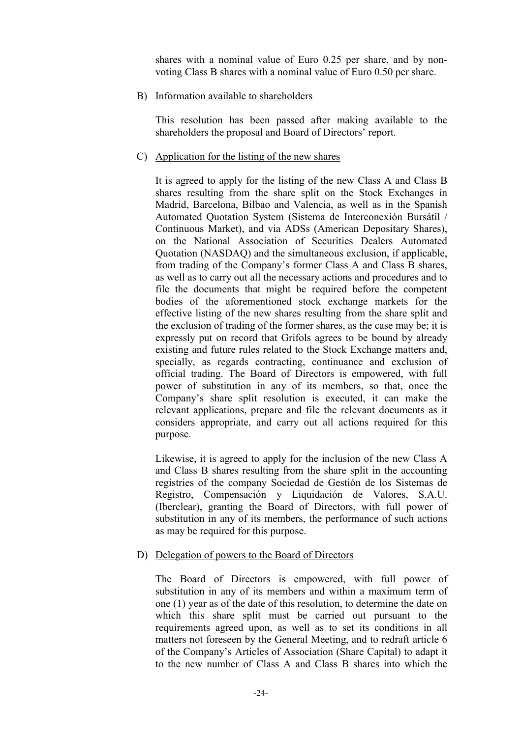shares with a nominal value of Euro 0.25 per share, and by nonvoting Class B shares with a nominal value of Euro 0.50 per share.

B) Information available to shareholders

This resolution has been passed after making available to the shareholders the proposal and Board of Directors' report.

C) Application for the listing of the new shares

It is agreed to apply for the listing of the new Class A and Class B shares resulting from the share split on the Stock Exchanges in Madrid, Barcelona, Bilbao and Valencia, as well as in the Spanish Automated Quotation System (Sistema de Interconexión Bursátil / Continuous Market), and via ADSs (American Depositary Shares), on the National Association of Securities Dealers Automated Quotation (NASDAQ) and the simultaneous exclusion, if applicable, from trading of the Company's former Class A and Class B shares, as well as to carry out all the necessary actions and procedures and to file the documents that might be required before the competent bodies of the aforementioned stock exchange markets for the effective listing of the new shares resulting from the share split and the exclusion of trading of the former shares, as the case may be; it is expressly put on record that Grifols agrees to be bound by already existing and future rules related to the Stock Exchange matters and, specially, as regards contracting, continuance and exclusion of official trading. The Board of Directors is empowered, with full power of substitution in any of its members, so that, once the Company's share split resolution is executed, it can make the relevant applications, prepare and file the relevant documents as it considers appropriate, and carry out all actions required for this purpose.

Likewise, it is agreed to apply for the inclusion of the new Class A and Class B shares resulting from the share split in the accounting registries of the company Sociedad de Gestión de los Sistemas de Registro, Compensación y Liquidación de Valores, S.A.U. (Iberclear), granting the Board of Directors, with full power of substitution in any of its members, the performance of such actions as may be required for this purpose.

## D) Delegation of powers to the Board of Directors

The Board of Directors is empowered, with full power of substitution in any of its members and within a maximum term of one (1) year as of the date of this resolution, to determine the date on which this share split must be carried out pursuant to the requirements agreed upon, as well as to set its conditions in all matters not foreseen by the General Meeting, and to redraft article 6 of the Company's Articles of Association (Share Capital) to adapt it to the new number of Class A and Class B shares into which the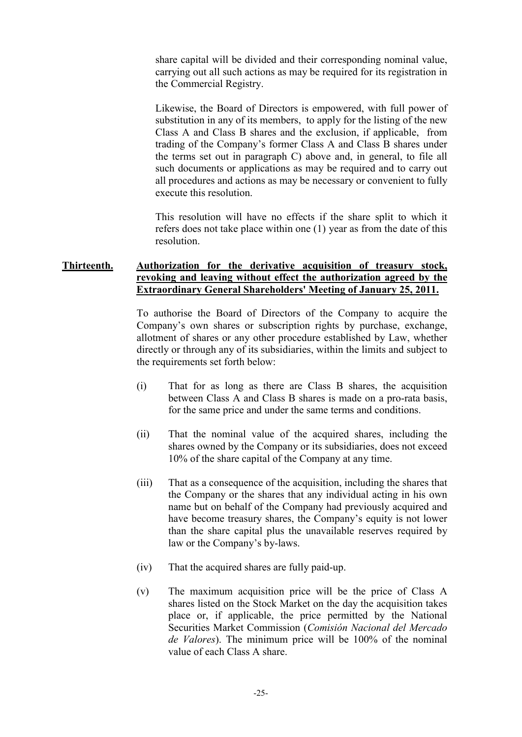share capital will be divided and their corresponding nominal value, carrying out all such actions as may be required for its registration in the Commercial Registry.

Likewise, the Board of Directors is empowered, with full power of substitution in any of its members, to apply for the listing of the new Class A and Class B shares and the exclusion, if applicable, from trading of the Company's former Class A and Class B shares under the terms set out in paragraph C) above and, in general, to file all such documents or applications as may be required and to carry out all procedures and actions as may be necessary or convenient to fully execute this resolution.

This resolution will have no effects if the share split to which it refers does not take place within one (1) year as from the date of this resolution.

## **Thirteenth. Authorization for the derivative acquisition of treasury stock, revoking and leaving without effect the authorization agreed by the Extraordinary General Shareholders' Meeting of January 25, 2011.**

To authorise the Board of Directors of the Company to acquire the Company's own shares or subscription rights by purchase, exchange, allotment of shares or any other procedure established by Law, whether directly or through any of its subsidiaries, within the limits and subject to the requirements set forth below:

- (i) That for as long as there are Class B shares, the acquisition between Class A and Class B shares is made on a pro-rata basis, for the same price and under the same terms and conditions.
- (ii) That the nominal value of the acquired shares, including the shares owned by the Company or its subsidiaries, does not exceed 10% of the share capital of the Company at any time.
- (iii) That as a consequence of the acquisition, including the shares that the Company or the shares that any individual acting in his own name but on behalf of the Company had previously acquired and have become treasury shares, the Company's equity is not lower than the share capital plus the unavailable reserves required by law or the Company's by-laws.
- (iv) That the acquired shares are fully paid-up.
- (v) The maximum acquisition price will be the price of Class A shares listed on the Stock Market on the day the acquisition takes place or, if applicable, the price permitted by the National Securities Market Commission (*Comisión Nacional del Mercado de Valores*). The minimum price will be 100% of the nominal value of each Class A share.